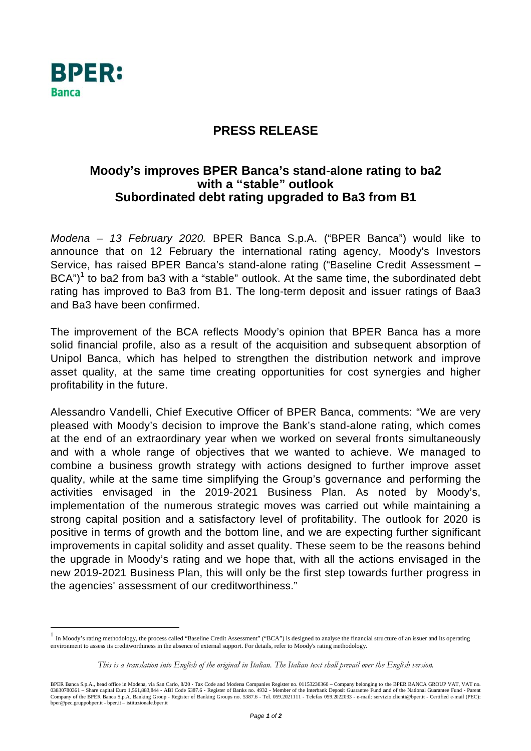

## **PRESS RELEASE**

## Moody's improves BPER Banca's stand-alone rating to ba2 with a "stable" outlook Subordinated debt rating upgraded to Ba3 from B1

Modena - 13 February 2020. BPER Banca S.p.A. ("BPER Banca") would like to announce that on 12 February the international rating agency, Moody's Investors Service, has raised BPER Banca's stand-alone rating ("Baseline Credit Assessment - $BCA<sup>n</sup>$ <sup>1</sup> to ba2 from ba3 with a "stable" outlook. At the same time, the subordinated debt rating has improved to Ba3 from B1. The long-term deposit and issuer ratings of Baa3 and Ba3 have been confirmed.

The improvement of the BCA reflects Moody's opinion that BPER Banca has a more solid financial profile, also as a result of the acquisition and subsequent absorption of Unipol Banca, which has helped to strengthen the distribution network and improve asset quality, at the same time creating opportunities for cost synergies and higher profitability in the future.

Alessandro Vandelli, Chief Executive Officer of BPER Banca, comments: "We are very pleased with Moody's decision to improve the Bank's stand-alone rating, which comes at the end of an extraordinary year when we worked on several fronts simultaneously and with a whole range of objectives that we wanted to achieve. We managed to combine a business growth strategy with actions designed to further improve asset quality, while at the same time simplifying the Group's governance and performing the activities envisaged in the 2019-2021 Business Plan. As noted by Moody's, implementation of the numerous strategic moves was carried out while maintaining a strong capital position and a satisfactory level of profitability. The outlook for 2020 is positive in terms of growth and the bottom line, and we are expecting further significant improvements in capital solidity and asset quality. These seem to be the reasons behind the upgrade in Moody's rating and we hope that, with all the actions envisaged in the new 2019-2021 Business Plan, this will only be the first step towards further progress in the agencies' assessment of our creditworthiness."

In Moody's rating methodology, the process called "Baseline Credit Assessment" ("BCA") is designed to analyse the financial structure of an issuer and its operating environment to assess its creditworthiness in the absence of external support. For details, refer to Moody's rating methodology.

This is a translation into English of the original in Italian. The Italian text shall prevail over the English version.

BPER Banca S.p.A., head office in Modena, via San Carlo, 8/20 - Tax Code and Modena Companies Register no. 01153230360 - Company belonging to the BPER BANCA GROUP VAT, VAT no.<br>03830780361 - Share capital Euro 1,561,883,844 Company of the BPER Banca S.p.A. Banking Group - Register of Banking Groups no. 5387.6 - Tel. 059.2021111 - Telefax 059.2022033 - e-mail: servizio.clienti@bper.it - Certified e-mail (PEC): bper@pec.gruppobper.it - bper.it - istituzionale.bper.it